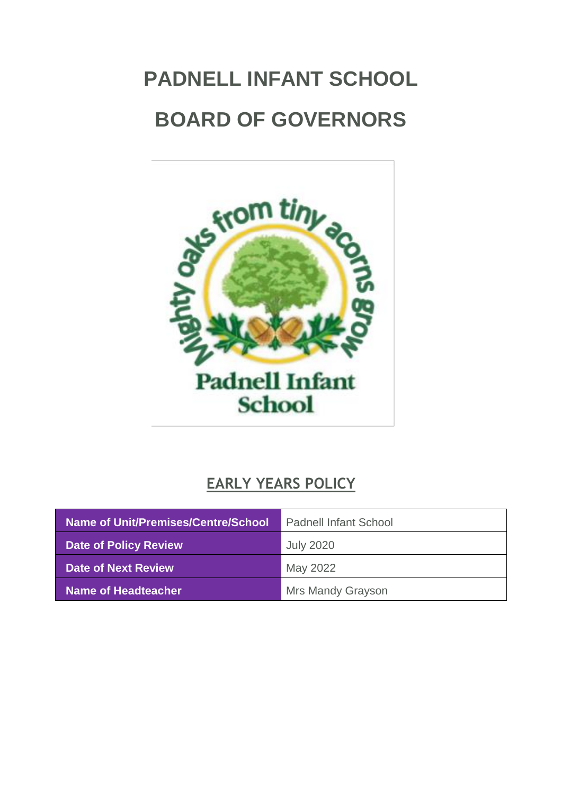# <span id="page-0-0"></span>**PADNELL INFANT SCHOOL BOARD OF GOVERNORS**



## **EARLY YEARS POLICY**

| Name of Unit/Premises/Centre/School | <b>Padnell Infant School</b> |
|-------------------------------------|------------------------------|
| <b>Date of Policy Review</b>        | <b>July 2020</b>             |
| Date of Next Review                 | May 2022                     |
| Name of Headteacher                 | <b>Mrs Mandy Grayson</b>     |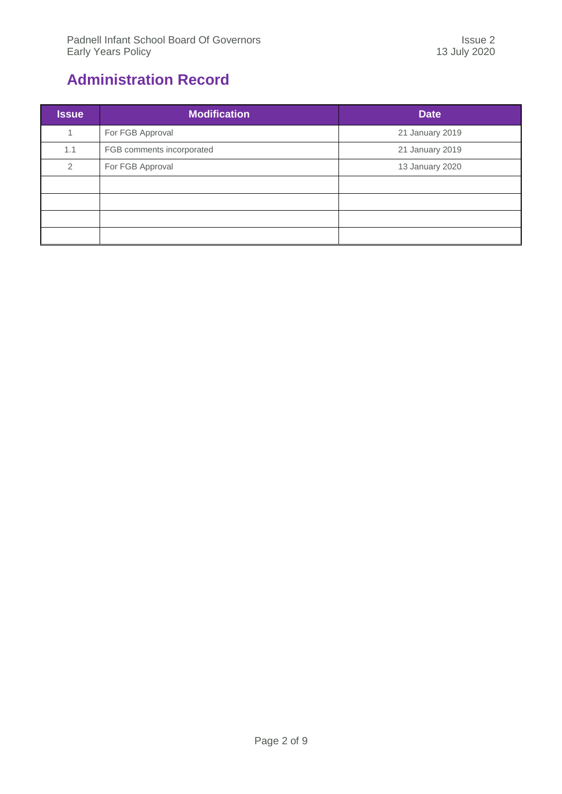## <span id="page-1-0"></span>**Administration Record**

| <b>Issue</b> | <b>Modification</b>       | <b>Date</b>     |
|--------------|---------------------------|-----------------|
|              | For FGB Approval          | 21 January 2019 |
| 1.1          | FGB comments incorporated | 21 January 2019 |
| 2            | For FGB Approval          | 13 January 2020 |
|              |                           |                 |
|              |                           |                 |
|              |                           |                 |
|              |                           |                 |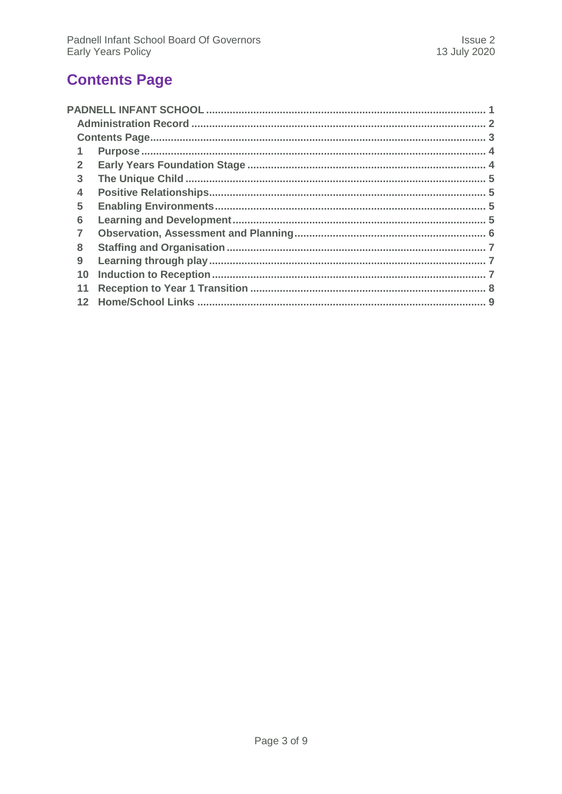## <span id="page-2-0"></span>**Contents Page**

| $\mathbf{2}$    |  |
|-----------------|--|
| 3               |  |
| 4               |  |
| 5               |  |
| 6               |  |
|                 |  |
| 8               |  |
| 9               |  |
| 10              |  |
|                 |  |
| 12 <sup>7</sup> |  |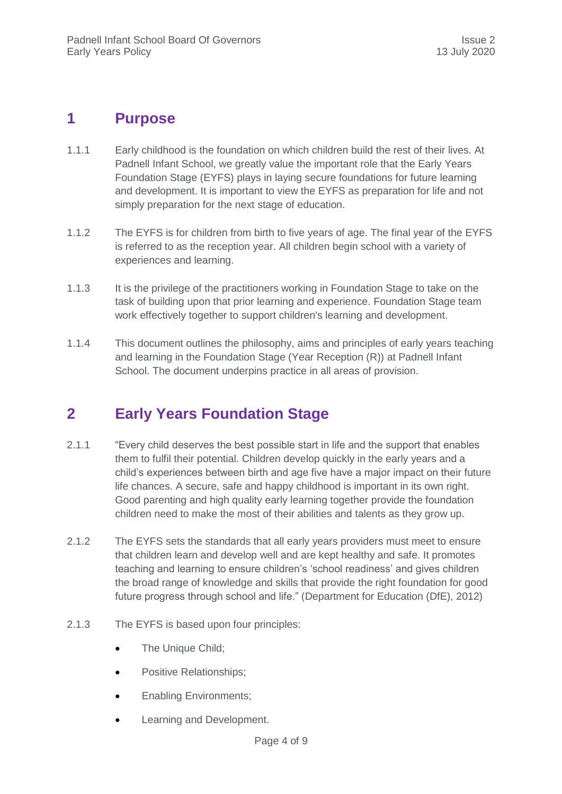#### <span id="page-3-0"></span>**1 Purpose**

- 1.1.1 Early childhood is the foundation on which children build the rest of their lives. At Padnell Infant School, we greatly value the important role that the Early Years Foundation Stage (EYFS) plays in laying secure foundations for future learning and development. It is important to view the EYFS as preparation for life and not simply preparation for the next stage of education.
- 1.1.2 The EYFS is for children from birth to five years of age. The final year of the EYFS is referred to as the reception year. All children begin school with a variety of experiences and learning.
- 1.1.3 It is the privilege of the practitioners working in Foundation Stage to take on the task of building upon that prior learning and experience. Foundation Stage team work effectively together to support children's learning and development.
- 1.1.4 This document outlines the philosophy, aims and principles of early years teaching and learning in the Foundation Stage (Year Reception (R)) at Padnell Infant School. The document underpins practice in all areas of provision.

### <span id="page-3-1"></span>**2 Early Years Foundation Stage**

- 2.1.1 "Every child deserves the best possible start in life and the support that enables them to fulfil their potential. Children develop quickly in the early years and a child's experiences between birth and age five have a major impact on their future life chances. A secure, safe and happy childhood is important in its own right. Good parenting and high quality early learning together provide the foundation children need to make the most of their abilities and talents as they grow up.
- 2.1.2 The EYFS sets the standards that all early years providers must meet to ensure that children learn and develop well and are kept healthy and safe. It promotes teaching and learning to ensure children's 'school readiness' and gives children the broad range of knowledge and skills that provide the right foundation for good future progress through school and life." (Department for Education (DfE), 2012)
- 2.1.3 The EYFS is based upon four principles:
	- The Unique Child;
	- Positive Relationships;
	- Enabling Environments;
	- Learning and Development.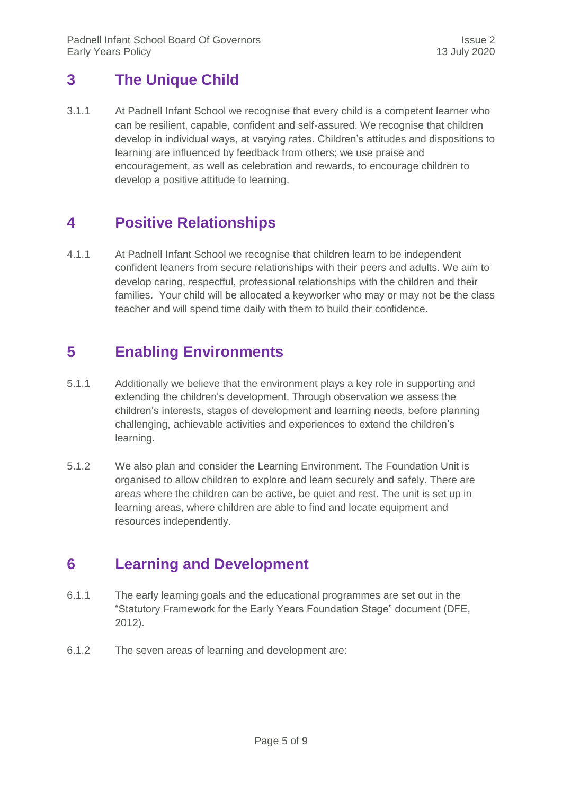### <span id="page-4-0"></span>**3 The Unique Child**

3.1.1 At Padnell Infant School we recognise that every child is a competent learner who can be resilient, capable, confident and self‐assured. We recognise that children develop in individual ways, at varying rates. Children's attitudes and dispositions to learning are influenced by feedback from others; we use praise and encouragement, as well as celebration and rewards, to encourage children to develop a positive attitude to learning.

### <span id="page-4-1"></span>**4 Positive Relationships**

4.1.1 At Padnell Infant School we recognise that children learn to be independent confident leaners from secure relationships with their peers and adults. We aim to develop caring, respectful, professional relationships with the children and their families. Your child will be allocated a keyworker who may or may not be the class teacher and will spend time daily with them to build their confidence.

#### <span id="page-4-2"></span>**5 Enabling Environments**

- 5.1.1 Additionally we believe that the environment plays a key role in supporting and extending the children's development. Through observation we assess the children's interests, stages of development and learning needs, before planning challenging, achievable activities and experiences to extend the children's learning.
- 5.1.2 We also plan and consider the Learning Environment. The Foundation Unit is organised to allow children to explore and learn securely and safely. There are areas where the children can be active, be quiet and rest. The unit is set up in learning areas, where children are able to find and locate equipment and resources independently.

#### <span id="page-4-3"></span>**6 Learning and Development**

- 6.1.1 The early learning goals and the educational programmes are set out in the "Statutory Framework for the Early Years Foundation Stage" document (DFE, 2012).
- 6.1.2 The seven areas of learning and development are: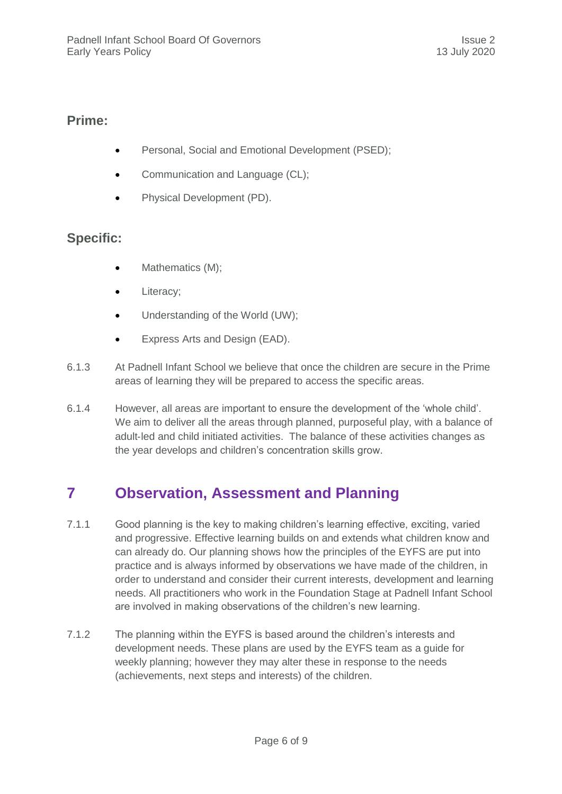#### **Prime:**

- Personal, Social and Emotional Development (PSED);
- Communication and Language (CL);
- Physical Development (PD).

#### **Specific:**

- Mathematics (M);
- Literacy;
- Understanding of the World (UW):
- Express Arts and Design (EAD).
- 6.1.3 At Padnell Infant School we believe that once the children are secure in the Prime areas of learning they will be prepared to access the specific areas.
- 6.1.4 However, all areas are important to ensure the development of the 'whole child'. We aim to deliver all the areas through planned, purposeful play, with a balance of adult-led and child initiated activities. The balance of these activities changes as the year develops and children's concentration skills grow.

## <span id="page-5-0"></span>**7 Observation, Assessment and Planning**

- 7.1.1 Good planning is the key to making children's learning effective, exciting, varied and progressive. Effective learning builds on and extends what children know and can already do. Our planning shows how the principles of the EYFS are put into practice and is always informed by observations we have made of the children, in order to understand and consider their current interests, development and learning needs. All practitioners who work in the Foundation Stage at Padnell Infant School are involved in making observations of the children's new learning.
- 7.1.2 The planning within the EYFS is based around the children's interests and development needs. These plans are used by the EYFS team as a guide for weekly planning; however they may alter these in response to the needs (achievements, next steps and interests) of the children.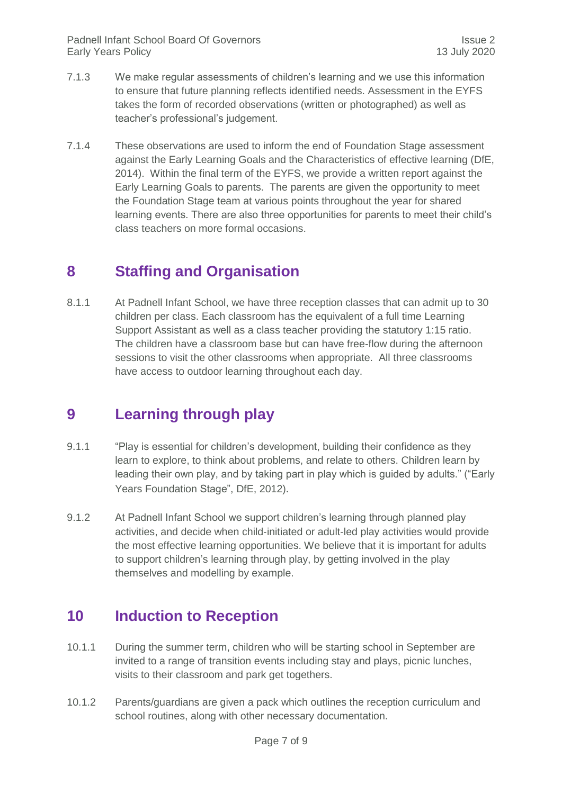- 7.1.3 We make regular assessments of children's learning and we use this information to ensure that future planning reflects identified needs. Assessment in the EYFS takes the form of recorded observations (written or photographed) as well as teacher's professional's judgement.
- 7.1.4 These observations are used to inform the end of Foundation Stage assessment against the Early Learning Goals and the Characteristics of effective learning (DfE, 2014). Within the final term of the EYFS, we provide a written report against the Early Learning Goals to parents. The parents are given the opportunity to meet the Foundation Stage team at various points throughout the year for shared learning events. There are also three opportunities for parents to meet their child's class teachers on more formal occasions.

#### <span id="page-6-0"></span>**8 Staffing and Organisation**

8.1.1 At Padnell Infant School, we have three reception classes that can admit up to 30 children per class. Each classroom has the equivalent of a full time Learning Support Assistant as well as a class teacher providing the statutory 1:15 ratio. The children have a classroom base but can have free-flow during the afternoon sessions to visit the other classrooms when appropriate. All three classrooms have access to outdoor learning throughout each day.

### <span id="page-6-1"></span>**9 Learning through play**

- 9.1.1 "Play is essential for children's development, building their confidence as they learn to explore, to think about problems, and relate to others. Children learn by leading their own play, and by taking part in play which is guided by adults." ("Early Years Foundation Stage", DfE, 2012).
- 9.1.2 At Padnell Infant School we support children's learning through planned play activities, and decide when child‐initiated or adult‐led play activities would provide the most effective learning opportunities. We believe that it is important for adults to support children's learning through play, by getting involved in the play themselves and modelling by example.

### <span id="page-6-2"></span>**10 Induction to Reception**

- 10.1.1 During the summer term, children who will be starting school in September are invited to a range of transition events including stay and plays, picnic lunches, visits to their classroom and park get togethers.
- 10.1.2 Parents/guardians are given a pack which outlines the reception curriculum and school routines, along with other necessary documentation.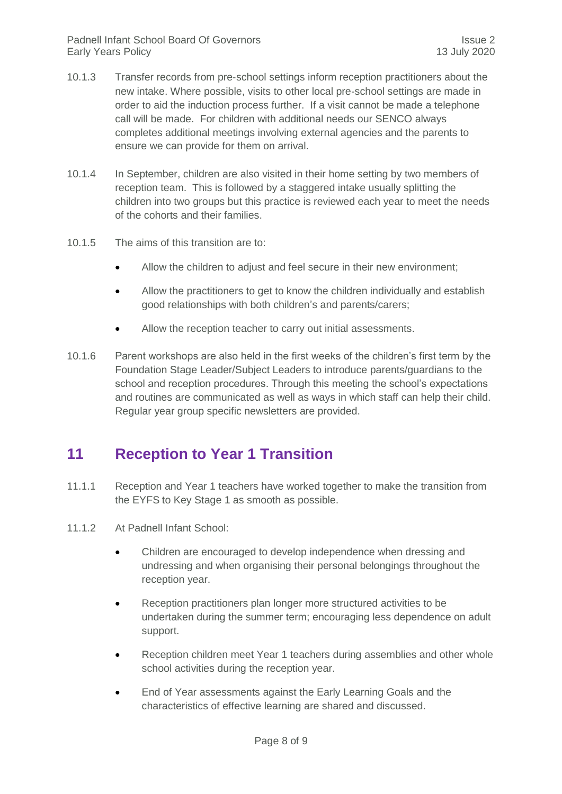- 10.1.3 Transfer records from pre-school settings inform reception practitioners about the new intake. Where possible, visits to other local pre‐school settings are made in order to aid the induction process further. If a visit cannot be made a telephone call will be made. For children with additional needs our SENCO always completes additional meetings involving external agencies and the parents to ensure we can provide for them on arrival.
- 10.1.4 In September, children are also visited in their home setting by two members of reception team. This is followed by a staggered intake usually splitting the children into two groups but this practice is reviewed each year to meet the needs of the cohorts and their families.
- 10.1.5 The aims of this transition are to:
	- Allow the children to adjust and feel secure in their new environment;
	- Allow the practitioners to get to know the children individually and establish good relationships with both children's and parents/carers;
	- Allow the reception teacher to carry out initial assessments.
- 10.1.6 Parent workshops are also held in the first weeks of the children's first term by the Foundation Stage Leader/Subject Leaders to introduce parents/guardians to the school and reception procedures. Through this meeting the school's expectations and routines are communicated as well as ways in which staff can help their child. Regular year group specific newsletters are provided.

#### <span id="page-7-0"></span>**11 Reception to Year 1 Transition**

- 11.1.1 Reception and Year 1 teachers have worked together to make the transition from the EYFS to Key Stage 1 as smooth as possible.
- 11.1.2 At Padnell Infant School:
	- Children are encouraged to develop independence when dressing and undressing and when organising their personal belongings throughout the reception year.
	- Reception practitioners plan longer more structured activities to be undertaken during the summer term; encouraging less dependence on adult support.
	- Reception children meet Year 1 teachers during assemblies and other whole school activities during the reception year.
	- End of Year assessments against the Early Learning Goals and the characteristics of effective learning are shared and discussed.